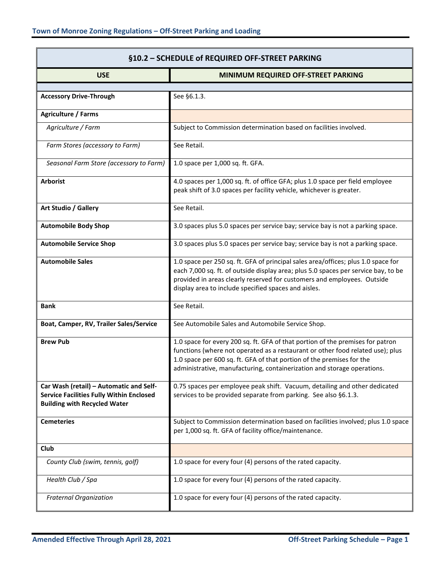| §10.2 - SCHEDULE of REQUIRED OFF-STREET PARKING                                                                                   |                                                                                                                                                                                                                                                                                                                      |
|-----------------------------------------------------------------------------------------------------------------------------------|----------------------------------------------------------------------------------------------------------------------------------------------------------------------------------------------------------------------------------------------------------------------------------------------------------------------|
| <b>USE</b>                                                                                                                        | MINIMUM REQUIRED OFF-STREET PARKING                                                                                                                                                                                                                                                                                  |
| <b>Accessory Drive-Through</b>                                                                                                    | See §6.1.3.                                                                                                                                                                                                                                                                                                          |
| <b>Agriculture / Farms</b>                                                                                                        |                                                                                                                                                                                                                                                                                                                      |
| Agriculture / Farm                                                                                                                | Subject to Commission determination based on facilities involved.                                                                                                                                                                                                                                                    |
| Farm Stores (accessory to Farm)                                                                                                   | See Retail.                                                                                                                                                                                                                                                                                                          |
| Seasonal Farm Store (accessory to Farm)                                                                                           | 1.0 space per 1,000 sq. ft. GFA.                                                                                                                                                                                                                                                                                     |
| <b>Arborist</b>                                                                                                                   | 4.0 spaces per 1,000 sq. ft. of office GFA; plus 1.0 space per field employee<br>peak shift of 3.0 spaces per facility vehicle, whichever is greater.                                                                                                                                                                |
| Art Studio / Gallery                                                                                                              | See Retail.                                                                                                                                                                                                                                                                                                          |
| <b>Automobile Body Shop</b>                                                                                                       | 3.0 spaces plus 5.0 spaces per service bay; service bay is not a parking space.                                                                                                                                                                                                                                      |
| <b>Automobile Service Shop</b>                                                                                                    | 3.0 spaces plus 5.0 spaces per service bay; service bay is not a parking space.                                                                                                                                                                                                                                      |
| <b>Automobile Sales</b>                                                                                                           | 1.0 space per 250 sq. ft. GFA of principal sales area/offices; plus 1.0 space for<br>each 7,000 sq. ft. of outside display area; plus 5.0 spaces per service bay, to be<br>provided in areas clearly reserved for customers and employees. Outside<br>display area to include specified spaces and aisles.           |
| <b>Bank</b>                                                                                                                       | See Retail.                                                                                                                                                                                                                                                                                                          |
| Boat, Camper, RV, Trailer Sales/Service                                                                                           | See Automobile Sales and Automobile Service Shop.                                                                                                                                                                                                                                                                    |
| <b>Brew Pub</b>                                                                                                                   | 1.0 space for every 200 sq. ft. GFA of that portion of the premises for patron<br>functions (where not operated as a restaurant or other food related use); plus<br>1.0 space per 600 sq. ft. GFA of that portion of the premises for the<br>administrative, manufacturing, containerization and storage operations. |
| Car Wash (retail) - Automatic and Self-<br><b>Service Facilities Fully Within Enclosed</b><br><b>Building with Recycled Water</b> | 0.75 spaces per employee peak shift. Vacuum, detailing and other dedicated<br>services to be provided separate from parking. See also §6.1.3.                                                                                                                                                                        |
| <b>Cemeteries</b>                                                                                                                 | Subject to Commission determination based on facilities involved; plus 1.0 space<br>per 1,000 sq. ft. GFA of facility office/maintenance.                                                                                                                                                                            |
| Club                                                                                                                              |                                                                                                                                                                                                                                                                                                                      |
| County Club (swim, tennis, golf)                                                                                                  | 1.0 space for every four (4) persons of the rated capacity.                                                                                                                                                                                                                                                          |
| Health Club / Spa                                                                                                                 | 1.0 space for every four (4) persons of the rated capacity.                                                                                                                                                                                                                                                          |
| <b>Fraternal Organization</b>                                                                                                     | 1.0 space for every four (4) persons of the rated capacity.                                                                                                                                                                                                                                                          |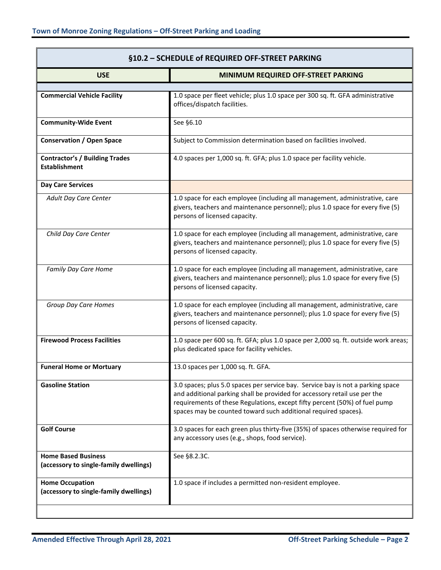| §10.2 - SCHEDULE of REQUIRED OFF-STREET PARKING                      |                                                                                                                                                                                                                                                                                                              |  |
|----------------------------------------------------------------------|--------------------------------------------------------------------------------------------------------------------------------------------------------------------------------------------------------------------------------------------------------------------------------------------------------------|--|
| <b>USE</b>                                                           | MINIMUM REQUIRED OFF-STREET PARKING                                                                                                                                                                                                                                                                          |  |
|                                                                      |                                                                                                                                                                                                                                                                                                              |  |
| <b>Commercial Vehicle Facility</b>                                   | 1.0 space per fleet vehicle; plus 1.0 space per 300 sq. ft. GFA administrative<br>offices/dispatch facilities.                                                                                                                                                                                               |  |
| <b>Community-Wide Event</b>                                          | See §6.10                                                                                                                                                                                                                                                                                                    |  |
| <b>Conservation / Open Space</b>                                     | Subject to Commission determination based on facilities involved.                                                                                                                                                                                                                                            |  |
| <b>Contractor's / Building Trades</b><br><b>Establishment</b>        | 4.0 spaces per 1,000 sq. ft. GFA; plus 1.0 space per facility vehicle.                                                                                                                                                                                                                                       |  |
| <b>Day Care Services</b>                                             |                                                                                                                                                                                                                                                                                                              |  |
| Adult Day Care Center                                                | 1.0 space for each employee (including all management, administrative, care<br>givers, teachers and maintenance personnel); plus 1.0 space for every five (5)<br>persons of licensed capacity.                                                                                                               |  |
| Child Day Care Center                                                | 1.0 space for each employee (including all management, administrative, care<br>givers, teachers and maintenance personnel); plus 1.0 space for every five (5)<br>persons of licensed capacity.                                                                                                               |  |
| Family Day Care Home                                                 | 1.0 space for each employee (including all management, administrative, care<br>givers, teachers and maintenance personnel); plus 1.0 space for every five (5)<br>persons of licensed capacity.                                                                                                               |  |
| Group Day Care Homes                                                 | 1.0 space for each employee (including all management, administrative, care<br>givers, teachers and maintenance personnel); plus 1.0 space for every five (5)<br>persons of licensed capacity.                                                                                                               |  |
| <b>Firewood Process Facilities</b>                                   | 1.0 space per 600 sq. ft. GFA; plus 1.0 space per 2,000 sq. ft. outside work areas;<br>plus dedicated space for facility vehicles.                                                                                                                                                                           |  |
| <b>Funeral Home or Mortuary</b>                                      | 13.0 spaces per 1,000 sq. ft. GFA.                                                                                                                                                                                                                                                                           |  |
| <b>Gasoline Station</b>                                              | 3.0 spaces; plus 5.0 spaces per service bay. Service bay is not a parking space<br>and additional parking shall be provided for accessory retail use per the<br>requirements of these Regulations, except fifty percent (50%) of fuel pump<br>spaces may be counted toward such additional required spaces). |  |
| <b>Golf Course</b>                                                   | 3.0 spaces for each green plus thirty-five (35%) of spaces otherwise required for<br>any accessory uses (e.g., shops, food service).                                                                                                                                                                         |  |
| <b>Home Based Business</b><br>(accessory to single-family dwellings) | See §8.2.3C.                                                                                                                                                                                                                                                                                                 |  |
| <b>Home Occupation</b><br>(accessory to single-family dwellings)     | 1.0 space if includes a permitted non-resident employee.                                                                                                                                                                                                                                                     |  |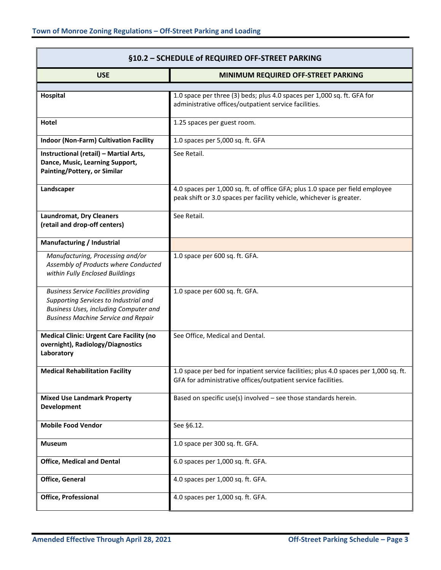| §10.2 - SCHEDULE of REQUIRED OFF-STREET PARKING                                                                                                                              |                                                                                                                                                        |
|------------------------------------------------------------------------------------------------------------------------------------------------------------------------------|--------------------------------------------------------------------------------------------------------------------------------------------------------|
| <b>USE</b>                                                                                                                                                                   | MINIMUM REQUIRED OFF-STREET PARKING                                                                                                                    |
|                                                                                                                                                                              |                                                                                                                                                        |
| Hospital                                                                                                                                                                     | 1.0 space per three (3) beds; plus 4.0 spaces per 1,000 sq. ft. GFA for<br>administrative offices/outpatient service facilities.                       |
| Hotel                                                                                                                                                                        | 1.25 spaces per guest room.                                                                                                                            |
| <b>Indoor (Non-Farm) Cultivation Facility</b>                                                                                                                                | 1.0 spaces per 5,000 sq. ft. GFA                                                                                                                       |
| Instructional (retail) - Martial Arts,<br>Dance, Music, Learning Support,<br>Painting/Pottery, or Similar                                                                    | See Retail.                                                                                                                                            |
| Landscaper                                                                                                                                                                   | 4.0 spaces per 1,000 sq. ft. of office GFA; plus 1.0 space per field employee<br>peak shift or 3.0 spaces per facility vehicle, whichever is greater.  |
| <b>Laundromat, Dry Cleaners</b><br>(retail and drop-off centers)                                                                                                             | See Retail.                                                                                                                                            |
| Manufacturing / Industrial                                                                                                                                                   |                                                                                                                                                        |
| Manufacturing, Processing and/or<br>Assembly of Products where Conducted<br>within Fully Enclosed Buildings                                                                  | 1.0 space per 600 sq. ft. GFA.                                                                                                                         |
| <b>Business Service Facilities providing</b><br>Supporting Services to Industrial and<br>Business Uses, including Computer and<br><b>Business Machine Service and Repair</b> | 1.0 space per 600 sq. ft. GFA.                                                                                                                         |
| <b>Medical Clinic: Urgent Care Facility (no</b><br>overnight), Radiology/Diagnostics<br>Laboratory                                                                           | See Office, Medical and Dental.                                                                                                                        |
| <b>Medical Rehabilitation Facility</b>                                                                                                                                       | 1.0 space per bed for inpatient service facilities; plus 4.0 spaces per 1,000 sq. ft.<br>GFA for administrative offices/outpatient service facilities. |
| <b>Mixed Use Landmark Property</b><br><b>Development</b>                                                                                                                     | Based on specific use(s) involved $-$ see those standards herein.                                                                                      |
| <b>Mobile Food Vendor</b>                                                                                                                                                    | See §6.12.                                                                                                                                             |
| <b>Museum</b>                                                                                                                                                                | 1.0 space per 300 sq. ft. GFA.                                                                                                                         |
| <b>Office, Medical and Dental</b>                                                                                                                                            | 6.0 spaces per 1,000 sq. ft. GFA.                                                                                                                      |
| Office, General                                                                                                                                                              | 4.0 spaces per 1,000 sq. ft. GFA.                                                                                                                      |
| <b>Office, Professional</b>                                                                                                                                                  | 4.0 spaces per 1,000 sq. ft. GFA.                                                                                                                      |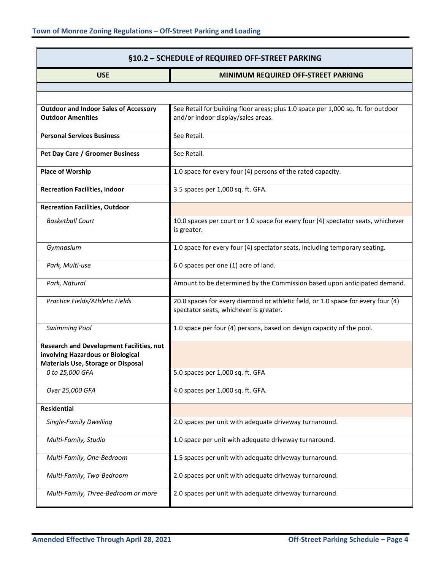| §10.2 - SCHEDULE of REQUIRED OFF-STREET PARKING                                                                                   |                                                                                                                            |
|-----------------------------------------------------------------------------------------------------------------------------------|----------------------------------------------------------------------------------------------------------------------------|
| <b>USE</b>                                                                                                                        | MINIMUM REQUIRED OFF-STREET PARKING                                                                                        |
|                                                                                                                                   |                                                                                                                            |
|                                                                                                                                   |                                                                                                                            |
| <b>Outdoor and Indoor Sales of Accessory</b><br><b>Outdoor Amenities</b>                                                          | See Retail for building floor areas; plus 1.0 space per 1,000 sq. ft. for outdoor<br>and/or indoor display/sales areas.    |
| <b>Personal Services Business</b>                                                                                                 | See Retail.                                                                                                                |
| Pet Day Care / Groomer Business                                                                                                   | See Retail.                                                                                                                |
| <b>Place of Worship</b>                                                                                                           | 1.0 space for every four (4) persons of the rated capacity.                                                                |
| <b>Recreation Facilities, Indoor</b>                                                                                              | 3.5 spaces per 1,000 sq. ft. GFA.                                                                                          |
| <b>Recreation Facilities, Outdoor</b>                                                                                             |                                                                                                                            |
| <b>Basketball Court</b>                                                                                                           | 10.0 spaces per court or 1.0 space for every four (4) spectator seats, whichever<br>is greater.                            |
| Gymnasium                                                                                                                         | 1.0 space for every four (4) spectator seats, including temporary seating.                                                 |
| Park, Multi-use                                                                                                                   | 6.0 spaces per one (1) acre of land.                                                                                       |
| Park, Natural                                                                                                                     | Amount to be determined by the Commission based upon anticipated demand.                                                   |
| Practice Fields/Athletic Fields                                                                                                   | 20.0 spaces for every diamond or athletic field, or 1.0 space for every four (4)<br>spectator seats, whichever is greater. |
| <b>Swimming Pool</b>                                                                                                              | 1.0 space per four (4) persons, based on design capacity of the pool.                                                      |
| <b>Research and Development Facilities, not</b><br>involving Hazardous or Biological<br><b>Materials Use, Storage or Disposal</b> |                                                                                                                            |
| 0 to 25,000 GFA                                                                                                                   | 5.0 spaces per 1,000 sq. ft. GFA                                                                                           |
| Over 25,000 GFA                                                                                                                   | 4.0 spaces per 1,000 sq. ft. GFA.                                                                                          |
| <b>Residential</b>                                                                                                                |                                                                                                                            |
| Single-Family Dwelling                                                                                                            | 2.0 spaces per unit with adequate driveway turnaround.                                                                     |
| Multi-Family, Studio                                                                                                              | 1.0 space per unit with adequate driveway turnaround.                                                                      |
| Multi-Family, One-Bedroom                                                                                                         | 1.5 spaces per unit with adequate driveway turnaround.                                                                     |
| Multi-Family, Two-Bedroom                                                                                                         | 2.0 spaces per unit with adequate driveway turnaround.                                                                     |
| Multi-Family, Three-Bedroom or more                                                                                               | 2.0 spaces per unit with adequate driveway turnaround.                                                                     |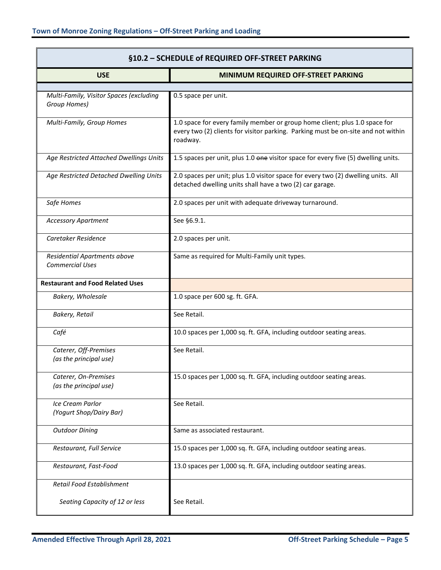| §10.2 - SCHEDULE of REQUIRED OFF-STREET PARKING         |                                                                                                                                                                             |
|---------------------------------------------------------|-----------------------------------------------------------------------------------------------------------------------------------------------------------------------------|
| <b>USE</b>                                              | MINIMUM REQUIRED OFF-STREET PARKING                                                                                                                                         |
|                                                         |                                                                                                                                                                             |
| Multi-Family, Visitor Spaces (excluding<br>Group Homes) | 0.5 space per unit.                                                                                                                                                         |
| Multi-Family, Group Homes                               | 1.0 space for every family member or group home client; plus 1.0 space for<br>every two (2) clients for visitor parking. Parking must be on-site and not within<br>roadway. |
| Age Restricted Attached Dwellings Units                 | 1.5 spaces per unit, plus 1.0 one visitor space for every five (5) dwelling units.                                                                                          |
| Age Restricted Detached Dwelling Units                  | 2.0 spaces per unit; plus 1.0 visitor space for every two (2) dwelling units. All<br>detached dwelling units shall have a two (2) car garage.                               |
| Safe Homes                                              | 2.0 spaces per unit with adequate driveway turnaround.                                                                                                                      |
| <b>Accessory Apartment</b>                              | See §6.9.1.                                                                                                                                                                 |
| Caretaker Residence                                     | 2.0 spaces per unit.                                                                                                                                                        |
| Residential Apartments above<br><b>Commercial Uses</b>  | Same as required for Multi-Family unit types.                                                                                                                               |
| <b>Restaurant and Food Related Uses</b>                 |                                                                                                                                                                             |
| Bakery, Wholesale                                       | 1.0 space per 600 sg. ft. GFA.                                                                                                                                              |
| Bakery, Retail                                          | See Retail.                                                                                                                                                                 |
| Café                                                    | 10.0 spaces per 1,000 sq. ft. GFA, including outdoor seating areas.                                                                                                         |
| Caterer, Off-Premises<br>(as the principal use)         | See Retail.                                                                                                                                                                 |
| Caterer, On-Premises<br>(as the principal use)          | 15.0 spaces per 1,000 sq. ft. GFA, including outdoor seating areas.                                                                                                         |
| Ice Cream Parlor<br>(Yogurt Shop/Dairy Bar)             | See Retail.                                                                                                                                                                 |
| <b>Outdoor Dining</b>                                   | Same as associated restaurant.                                                                                                                                              |
| Restaurant, Full Service                                | 15.0 spaces per 1,000 sq. ft. GFA, including outdoor seating areas.                                                                                                         |
| Restaurant, Fast-Food                                   | 13.0 spaces per 1,000 sq. ft. GFA, including outdoor seating areas.                                                                                                         |
| Retail Food Establishment                               |                                                                                                                                                                             |
| Seating Capacity of 12 or less                          | See Retail.                                                                                                                                                                 |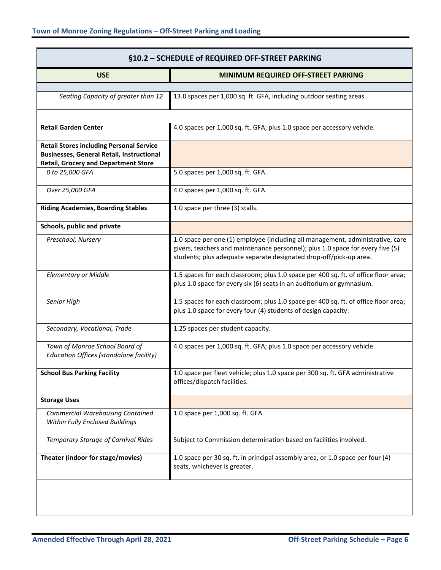| §10.2 - SCHEDULE of REQUIRED OFF-STREET PARKING                                                                                                    |                                                                                                                                                                                                                                        |
|----------------------------------------------------------------------------------------------------------------------------------------------------|----------------------------------------------------------------------------------------------------------------------------------------------------------------------------------------------------------------------------------------|
| <b>USE</b>                                                                                                                                         | MINIMUM REQUIRED OFF-STREET PARKING                                                                                                                                                                                                    |
| Seating Capacity of greater than 12                                                                                                                | 13.0 spaces per 1,000 sq. ft. GFA, including outdoor seating areas.                                                                                                                                                                    |
| <b>Retail Garden Center</b>                                                                                                                        | 4.0 spaces per 1,000 sq. ft. GFA; plus 1.0 space per accessory vehicle.                                                                                                                                                                |
| <b>Retail Stores including Personal Service</b><br><b>Businesses, General Retail, Instructional</b><br><b>Retail, Grocery and Department Store</b> |                                                                                                                                                                                                                                        |
| 0 to 25,000 GFA                                                                                                                                    | 5.0 spaces per 1,000 sq. ft. GFA.                                                                                                                                                                                                      |
| Over 25,000 GFA                                                                                                                                    | 4.0 spaces per 1,000 sq. ft. GFA.                                                                                                                                                                                                      |
| <b>Riding Academies, Boarding Stables</b>                                                                                                          | 1.0 space per three (3) stalls.                                                                                                                                                                                                        |
| Schools, public and private                                                                                                                        |                                                                                                                                                                                                                                        |
| Preschool, Nursery                                                                                                                                 | 1.0 space per one (1) employee (including all management, administrative, care<br>givers, teachers and maintenance personnel); plus 1.0 space for every five (5)<br>students; plus adequate separate designated drop-off/pick-up area. |
| <b>Elementary or Middle</b>                                                                                                                        | 1.5 spaces for each classroom; plus 1.0 space per 400 sq. ft. of office floor area;<br>plus 1.0 space for every six (6) seats in an auditorium or gymnasium.                                                                           |
| Senior High                                                                                                                                        | 1.5 spaces for each classroom; plus 1.0 space per 400 sq. ft. of office floor area;<br>plus 1.0 space for every four (4) students of design capacity.                                                                                  |
| Secondary, Vocational, Trade                                                                                                                       | 1.25 spaces per student capacity.                                                                                                                                                                                                      |
| Town of Monroe School Board of<br>Education Offices (standalone facility)                                                                          | 4.0 spaces per 1,000 sq. ft. GFA; plus 1.0 space per accessory vehicle.                                                                                                                                                                |
| <b>School Bus Parking Facility</b>                                                                                                                 | 1.0 space per fleet vehicle; plus 1.0 space per 300 sq. ft. GFA administrative<br>offices/dispatch facilities.                                                                                                                         |
| <b>Storage Uses</b>                                                                                                                                |                                                                                                                                                                                                                                        |
| <b>Commercial Warehousing Contained</b><br>Within Fully Enclosed Buildings                                                                         | 1.0 space per 1,000 sq. ft. GFA.                                                                                                                                                                                                       |
| <b>Temporary Storage of Carnival Rides</b>                                                                                                         | Subject to Commission determination based on facilities involved.                                                                                                                                                                      |
| Theater (indoor for stage/movies)                                                                                                                  | 1.0 space per 30 sq. ft. in principal assembly area, or 1.0 space per four (4)<br>seats, whichever is greater.                                                                                                                         |
|                                                                                                                                                    |                                                                                                                                                                                                                                        |